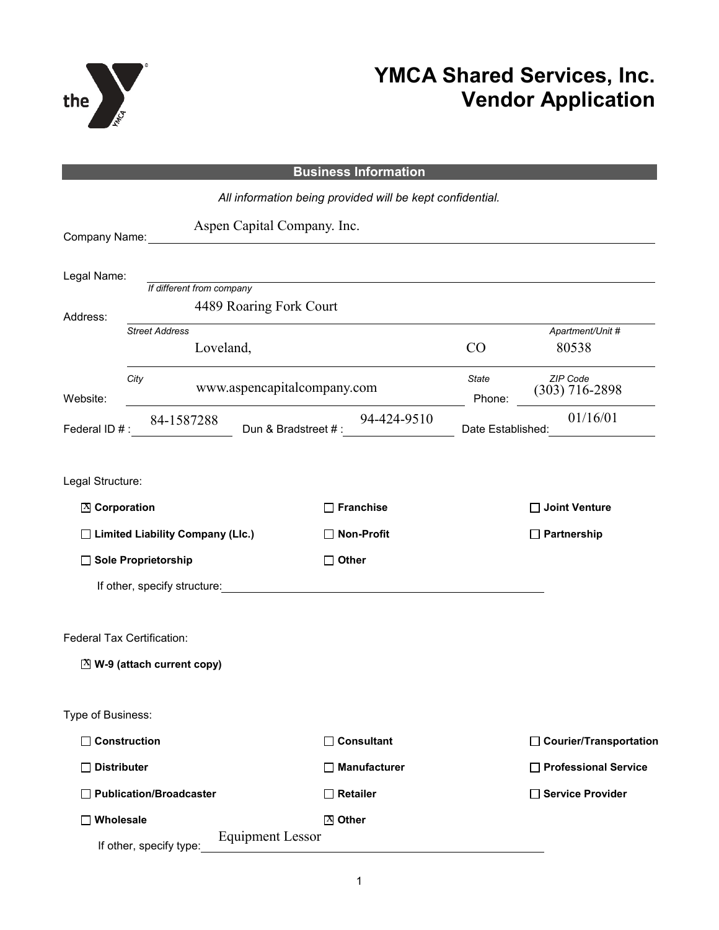

## **YMCA Shared Services, Inc. Vendor Application**

|                                    |                                    |                             | <b>Business Information</b>                               |                        |                              |
|------------------------------------|------------------------------------|-----------------------------|-----------------------------------------------------------|------------------------|------------------------------|
|                                    |                                    |                             | All information being provided will be kept confidential. |                        |                              |
| Company Name:                      |                                    | Aspen Capital Company. Inc. |                                                           |                        |                              |
| Legal Name:                        | If different from company          | 4489 Roaring Fork Court     |                                                           |                        |                              |
| Address:                           | <b>Street Address</b><br>Loveland, |                             |                                                           | CO                     | Apartment/Unit #<br>80538    |
| Website:                           | City                               | www.aspencapitalcompany.com |                                                           | <b>State</b><br>Phone: | ZIP Code<br>$(303)$ 716-2898 |
| Federal ID #:                      | 84-1587288                         | Dun & Bradstreet #:         | 94-424-9510                                               | Date Established:      | 01/16/01                     |
| Legal Structure:                   |                                    |                             |                                                           |                        |                              |
| ⊠ Corporation                      |                                    |                             | <b>Franchise</b>                                          |                        | Joint Venture                |
| □ Limited Liability Company (Llc.) |                                    |                             | <b>Non-Profit</b>                                         |                        | $\Box$ Partnership           |
| □ Sole Proprietorship              |                                    |                             | $\Box$ Other                                              |                        |                              |
|                                    | If other, specify structure:       |                             | <u> 1980 - John Stein, Amerikaansk politiker (</u>        |                        |                              |
| Federal Tax Certification:         |                                    |                             |                                                           |                        |                              |
|                                    | $[3]$ W-9 (attach current copy)    |                             |                                                           |                        |                              |
| Type of Business:                  |                                    |                             |                                                           |                        |                              |
| $\Box$ Construction                |                                    |                             | $\Box$ Consultant                                         |                        | □ Courier/Transportation     |
| $\Box$ Distributer                 |                                    |                             | $\Box$ Manufacturer                                       |                        | □ Professional Service       |
|                                    | Publication/Broadcaster            |                             | $\Box$ Retailer                                           |                        | □ Service Provider           |
| $\Box$ Wholesale                   | If other, specify type:            | <b>Equipment Lessor</b>     | $X$ Other                                                 |                        |                              |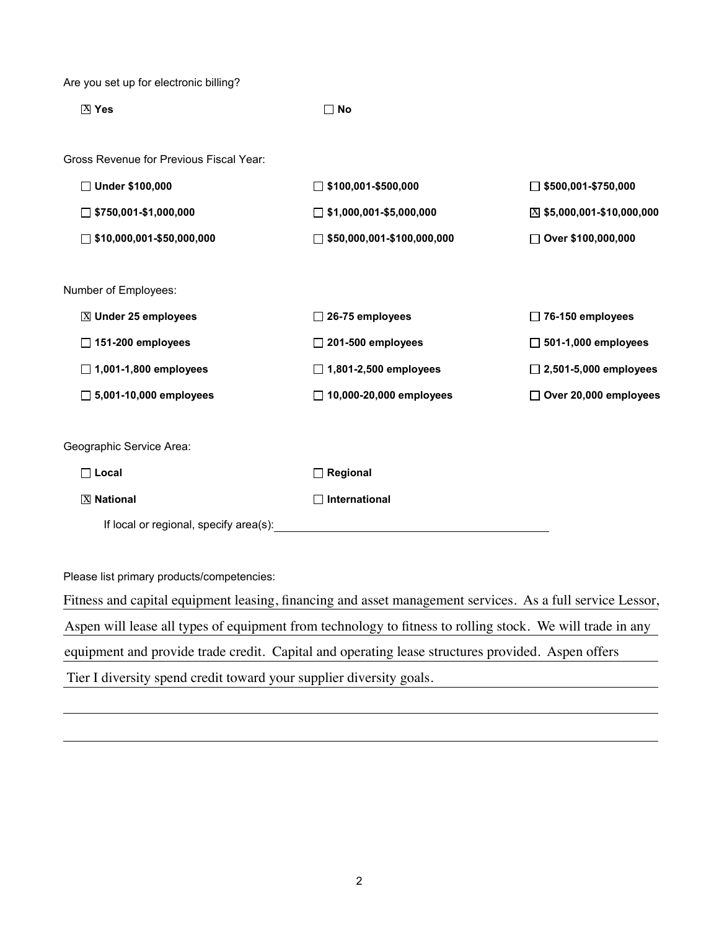Are you set up for electronic billing?

| $X$ Yes                                 | $\Box$ No                         |                              |
|-----------------------------------------|-----------------------------------|------------------------------|
| Gross Revenue for Previous Fiscal Year: |                                   |                              |
| □ Under \$100,000                       | $\Box$ \$100,001-\$500,000        | $\Box$ \$500,001-\$750,000   |
| $\Box$ \$750,001-\$1,000,000            | $\Box$ \$1,000,001-\$5,000,000    | $X$ \$5,000,001-\$10,000,000 |
| $\Box$ \$10,000,001-\$50,000,000        | $\Box$ \$50,000,001-\$100,000,000 | □ Over \$100,000,000         |
|                                         |                                   |                              |
| Number of Employees:                    |                                   |                              |
| <b>⊠ Under 25 employees</b>             | $\Box$ 26-75 employees            | $\Box$ 76-150 employees      |
| $\Box$ 151-200 employees                | $\Box$ 201-500 employees          | $\Box$ 501-1,000 employees   |
| $\Box$ 1,001-1,800 employees            | $\Box$ 1,801-2,500 employees      | $\Box$ 2,501-5,000 employees |
| $\Box$ 5,001-10,000 employees           | □ 10,000-20,000 employees         | Over 20,000 employees        |
|                                         |                                   |                              |
| Geographic Service Area:                |                                   |                              |
| $\Box$ Local                            | $\Box$ Regional                   |                              |
| <b>X</b> National                       | International                     |                              |
| If local or regional, specify area(s):  |                                   |                              |

Please list primary products/competencies:

Fitness and capital equipment leasing, financing and asset management services. As a full service Lessor, Aspen will lease all types of equipment from technology to fitness to rolling stock. We will trade in any equipment and provide trade credit. Capital and operating lease structures provided. Aspen offers Tier I diversity spend credit toward your supplier diversity goals.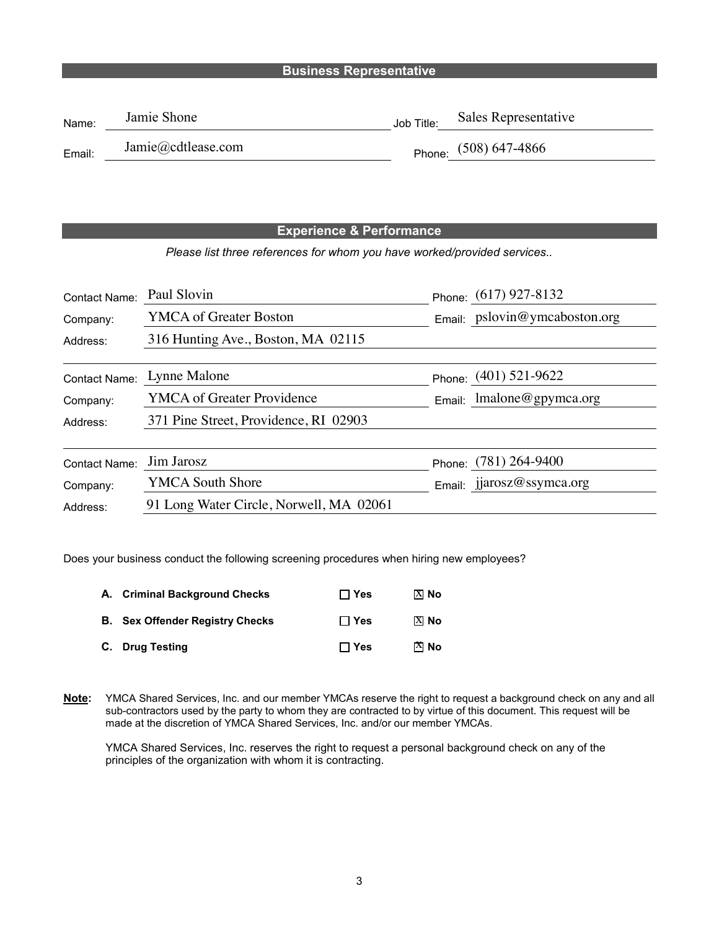## **Business Representative**

| Name:  | Jamie Shone        | Job Title: | Sales Representative    |
|--------|--------------------|------------|-------------------------|
| Email: | Jamie@cdtlease.com |            | Phone: $(508) 647-4866$ |

## **Experience & Performance**

*Please list three references for whom you have worked/provided services..*

| <b>Contact Name:</b> | Paul Slovin                             | Phone: (617) 927-8132           |  |
|----------------------|-----------------------------------------|---------------------------------|--|
| Company:             | <b>YMCA</b> of Greater Boston           | Email: pslovin@ymcaboston.org   |  |
| Address:             | 316 Hunting Ave., Boston, MA 02115      |                                 |  |
|                      |                                         |                                 |  |
| Contact Name:        | Lynne Malone                            | Phone: (401) 521-9622           |  |
| Company:             | <b>YMCA</b> of Greater Providence       | $l$ malone@gpymca.org<br>Email: |  |
| Address:             | 371 Pine Street, Providence, RI 02903   |                                 |  |
|                      |                                         |                                 |  |
| Contact Name:        | Jim Jarosz                              | Phone: (781) 264-9400           |  |
| Company:             | <b>YMCA South Shore</b>                 | Email: jjarosz@ssymca.org       |  |
| Address:             | 91 Long Water Circle, Norwell, MA 02061 |                                 |  |

Does your business conduct the following screening procedures when hiring new employees?

| A. Criminal Background Checks          | $\Box$ Yes | $[X]$ No        |
|----------------------------------------|------------|-----------------|
| <b>B.</b> Sex Offender Registry Checks | $\Box$ Yes | $[X]$ No        |
| C. Drug Testing                        | $\Box$ Yes | $\mathbb{F}$ No |

**Note:** YMCA Shared Services, Inc. and our member YMCAs reserve the right to request a background check on any and all sub-contractors used by the party to whom they are contracted to by virtue of this document. This request will be made at the discretion of YMCA Shared Services, Inc. and/or our member YMCAs.

YMCA Shared Services, Inc. reserves the right to request a personal background check on any of the principles of the organization with whom it is contracting.